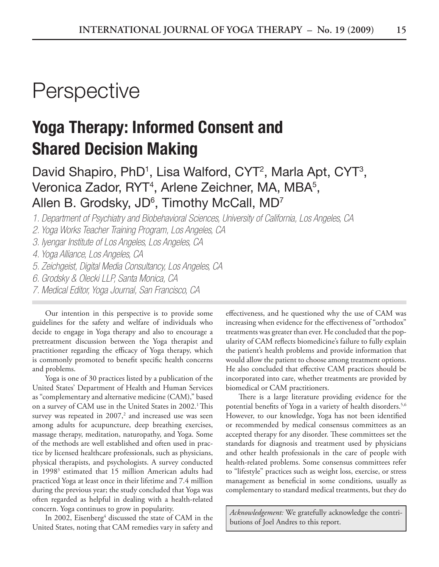## **Perspective**

## **Yoga Therapy: Informed Consent and Shared Decision Making**

David Shapiro, PhD<sup>1</sup>, Lisa Walford, CYT<sup>2</sup>, Marla Apt, CYT<sup>3</sup>, Veronica Zador, RYT<sup>4</sup>, Arlene Zeichner, MA, MBA<sup>5</sup>, Allen B. Grodsky, JD $^6$ , Timothy McCall, MD<sup>7</sup>

*1. Department of Psychiatry and Biobehavioral Sciences, University of California, Los Angeles, CA*

*2. Yoga Works Teacher Training Program, Los Angeles, CA*

*3. Iyengar Institute of Los Angeles, Los Angeles, CA*

*4. Yoga Alliance, Los Angeles, CA*

*5. Zeichgeist, Digital Media Consultancy, Los Angeles, CA*

*6. Grodsky & Olecki LLP, Santa Monica, CA*

*7. Medical Editor, Yoga Journal, San Francisco, CA*

Our intention in this perspective is to provide some guidelines for the safety and welfare of individuals who decide to engage in Yoga therapy and also to encourage a pretreatment discussion between the Yoga therapist and practitioner regarding the efficacy of Yoga therapy, which is commonly promoted to benefit specific health concerns and problems.

Yoga is one of 30 practices listed by a publication of the United States' Department of Health and Human Services as "complementary and alternative medicine (CAM)," based on a survey of CAM use in the United States in 2002.<sup>1</sup> This survey was repeated in  $2007<sup>2</sup>$  and increased use was seen among adults for acupuncture, deep breathing exercises, massage therapy, meditation, naturopathy, and Yoga. Some of the methods are well established and often used in practice by licensed healthcare professionals, such as physicians, physical therapists, and psychologists. A survey conducted in 19983 estimated that 15 million American adults had practiced Yoga at least once in their lifetime and 7.4 million during the previous year; the study concluded that Yoga was often regarded as helpful in dealing with a health-related concern. Yoga continues to grow in popularity.

In 2002, Eisenberg<sup>4</sup> discussed the state of CAM in the United States, noting that CAM remedies vary in safety and

effectiveness, and he questioned why the use of CAM was increasing when evidence for the effectiveness of "orthodox" treatments was greater than ever. He concluded that the popularity of CAM reflects biomedicine's failure to fully explain the patient's health problems and provide information that would allow the patient to choose among treatment options. He also concluded that effective CAM practices should be incorporated into care, whether treatments are provided by biomedical or CAM practitioners.

There is a large literature providing evidence for the potential benefits of Yoga in a variety of health disorders.<sup>5,6</sup> However, to our knowledge, Yoga has not been identified or recommended by medical consensus committees as an accepted therapy for any disorder. These committees set the standards for diagnosis and treatment used by physicians and other health professionals in the care of people with health-related problems. Some consensus committees refer to "lifestyle" practices such as weight loss, exercise, or stress management as beneficial in some conditions, usually as complementary to standard medical treatments, but they do

*Acknowledgement:* We gratefully acknowledge the contributions of Joel Andres to this report.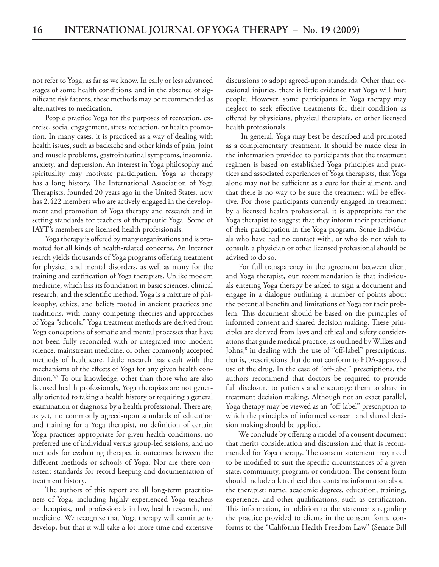not refer to Yoga, as far as we know. In early or less advanced stages of some health conditions, and in the absence of significant risk factors, these methods may be recommended as alternatives to medication.

People practice Yoga for the purposes of recreation, exercise, social engagement, stress reduction, or health promotion. In many cases, it is practiced as a way of dealing with health issues, such as backache and other kinds of pain, joint and muscle problems, gastrointestinal symptoms, insomnia, anxiety, and depression. An interest in Yoga philosophy and spirituality may motivate participation. Yoga as therapy has a long history. The International Association of Yoga Therapists, founded 20 years ago in the United States, now has 2,422 members who are actively engaged in the development and promotion of Yoga therapy and research and in setting standards for teachers of therapeutic Yoga. Some of IAYT's members are licensed health professionals.

Yoga therapy is offered by many organizations and is promoted for all kinds of health-related concerns. An Internet search yields thousands of Yoga programs offering treatment for physical and mental disorders, as well as many for the training and certification of Yoga therapists. Unlike modern medicine, which has its foundation in basic sciences, clinical research, and the scientific method, Yoga is a mixture of philosophy, ethics, and beliefs rooted in ancient practices and traditions, with many competing theories and approaches of Yoga "schools." Yoga treatment methods are derived from Yoga conceptions of somatic and mental processes that have not been fully reconciled with or integrated into modern science, mainstream medicine, or other commonly accepted methods of healthcare. Little research has dealt with the mechanisms of the effects of Yoga for any given health condition.6,7 To our knowledge, other than those who are also licensed health professionals, Yoga therapists are not generally oriented to taking a health history or requiring a general examination or diagnosis by a health professional. There are, as yet, no commonly agreed-upon standards of education and training for a Yoga therapist, no definition of certain Yoga practices appropriate for given health conditions, no preferred use of individual versus group-led sessions, and no methods for evaluating therapeutic outcomes between the different methods or schools of Yoga. Nor are there consistent standards for record keeping and documentation of treatment history.

The authors of this report are all long-term practitioners of Yoga, including highly experienced Yoga teachers or therapists, and professionals in law, health research, and medicine. We recognize that Yoga therapy will continue to develop, but that it will take a lot more time and extensive

discussions to adopt agreed-upon standards. Other than occasional injuries, there is little evidence that Yoga will hurt people. However, some participants in Yoga therapy may neglect to seek effective treatments for their condition as offered by physicians, physical therapists, or other licensed health professionals.

 In general, Yoga may best be described and promoted as a complementary treatment. It should be made clear in the information provided to participants that the treatment regimen is based on established Yoga principles and practices and associated experiences of Yoga therapists, that Yoga alone may not be sufficient as a cure for their ailment, and that there is no way to be sure the treatment will be effective. For those participants currently engaged in treatment by a licensed health professional, it is appropriate for the Yoga therapist to suggest that they inform their practitioner of their participation in the Yoga program. Some individuals who have had no contact with, or who do not wish to consult, a physician or other licensed professional should be advised to do so.

For full transparency in the agreement between client and Yoga therapist, our recommendation is that individuals entering Yoga therapy be asked to sign a document and engage in a dialogue outlining a number of points about the potential benefits and limitations of Yoga for their problem. This document should be based on the principles of informed consent and shared decision making. These principles are derived from laws and ethical and safety considerations that guide medical practice, as outlined by Wilkes and Johns,<sup>8</sup> in dealing with the use of "off-label" prescriptions, that is, prescriptions that do not conform to FDA-approved use of the drug. In the case of "off-label" prescriptions, the authors recommend that doctors be required to provide full disclosure to patients and encourage them to share in treatment decision making. Although not an exact parallel, Yoga therapy may be viewed as an "off-label" prescription to which the principles of informed consent and shared decision making should be applied.

We conclude by offering a model of a consent document that merits consideration and discussion and that is recommended for Yoga therapy. The consent statement may need to be modified to suit the specific circumstances of a given state, community, program, or condition. The consent form should include a letterhead that contains information about the therapist: name, academic degrees, education, training, experience, and other qualifications, such as certification. This information, in addition to the statements regarding the practice provided to clients in the consent form, conforms to the "California Health Freedom Law" (Senate Bill